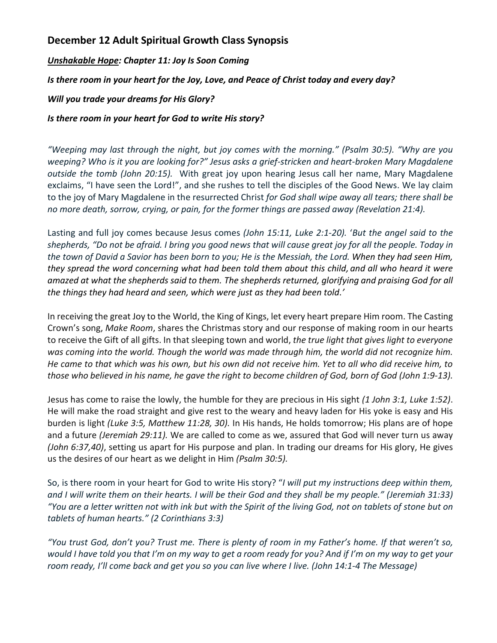## **December 12 Adult Spiritual Growth Class Synopsis**

*Unshakable Hope: Chapter 11: Joy Is Soon Coming*

*Is there room in your heart for the Joy, Love, and Peace of Christ today and every day?*

*Will you trade your dreams for His Glory?*

*Is there room in your heart for God to write His story?*

*"Weeping may last through the night, but joy comes with the morning." (Psalm 30:5). "Why are you weeping? Who is it you are looking for?" Jesus asks a grief-stricken and heart-broken Mary Magdalene outside the tomb (John 20:15).* With great joy upon hearing Jesus call her name, Mary Magdalene exclaims, "I have seen the Lord!", and she rushes to tell the disciples of the Good News. We lay claim to the joy of Mary Magdalene in the resurrected Christ *for God shall wipe away all tears; there shall be no more death, sorrow, crying, or pain, for the former things are passed away (Revelation 21:4).*

Lasting and full joy comes because Jesus comes *(John 15:11, Luke 2:1-20).* '*But the angel said to the shepherds, "Do not be afraid. I bring you good news that will cause great joy for all the people. Today in the town of David a Savior has been born to you; He is the Messiah, the Lord. When they had seen Him, they spread the word concerning what had been told them about this child, and all who heard it were amazed at what the shepherds said to them. The shepherds returned, glorifying and praising God for all the things they had heard and seen, which were just as they had been told.'*

In receiving the great Joy to the World, the King of Kings, let every heart prepare Him room. The Casting Crown's song, *Make Room*, shares the Christmas story and our response of making room in our hearts to receive the Gift of all gifts. In that sleeping town and world, *the true light that gives light to everyone was coming into the world. Though the world was made through him, the world did not recognize him. He came to that which was his own, but his own did not receive him. Yet to all who did receive him, to those who believed in his name, he gave the right to become children of God, born of God (John 1:9-13).* 

Jesus has come to raise the lowly, the humble for they are precious in His sight *(1 John 3:1, Luke 1:52)*. He will make the road straight and give rest to the weary and heavy laden for His yoke is easy and His burden is light *(Luke 3:5, Matthew 11:28, 30).* In His hands, He holds tomorrow; His plans are of hope and a future *(Jeremiah 29:11).* We are called to come as we, assured that God will never turn us away *(John 6:37,40)*, setting us apart for His purpose and plan. In trading our dreams for His glory, He gives us the desires of our heart as we delight in Him *(Psalm 30:5).*

So, is there room in your heart for God to write His story? "*I will put my instructions deep within them, and I will write them on their hearts. I will be their God and they shall be my people." (Jeremiah 31:33) "You are a letter written not with ink but with the Spirit of the living God, not on tablets of stone but on tablets of human hearts." (2 Corinthians 3:3)*

*"You trust God, don't you? Trust me. There is plenty of room in my Father's home. If that weren't so, would I have told you that I'm on my way to get a room ready for you? And if I'm on my way to get your room ready, I'll come back and get you so you can live where I live. (John 14:1-4 The Message)*